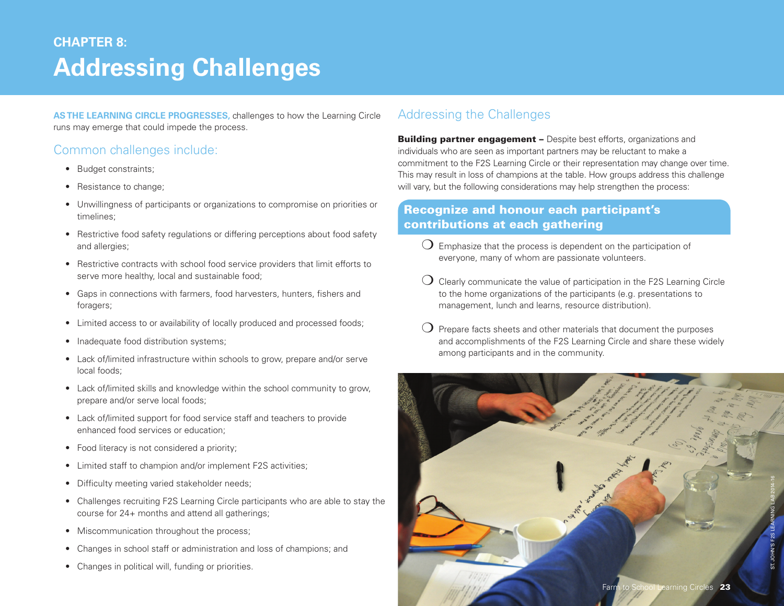# **Addressing Challenges CHAPTER 8:**

**As the Learning Circle progresses,** challenges to how the Learning Circle runs may emerge that could impede the process.

### Common challenges include:

- Budget constraints;
- Resistance to change;
- Unwillingness of participants or organizations to compromise on priorities or timelines;
- Restrictive food safety regulations or differing perceptions about food safety and allergies;
- Restrictive contracts with school food service providers that limit efforts to serve more healthy, local and sustainable food;
- Gaps in connections with farmers, food harvesters, hunters, fishers and foragers;
- Limited access to or availability of locally produced and processed foods;
- Inadequate food distribution systems;
- Lack of/limited infrastructure within schools to grow, prepare and/or serve local foods;
- Lack of/limited skills and knowledge within the school community to grow, prepare and/or serve local foods;
- Lack of/limited support for food service staff and teachers to provide enhanced food services or education;
- Food literacy is not considered a priority;
- Limited staff to champion and/or implement F2S activities;
- Difficulty meeting varied stakeholder needs;
- Challenges recruiting F2S Learning Circle participants who are able to stay the course for 24+ months and attend all gatherings;
- Miscommunication throughout the process;
- Changes in school staff or administration and loss of champions; and
- Changes in political will, funding or priorities.

## Addressing the Challenges

**Building partner engagement - Despite best efforts, organizations and** individuals who are seen as important partners may be reluctant to make a commitment to the F2S Learning Circle or their representation may change over time. This may result in loss of champions at the table. How groups address this challenge will vary, but the following considerations may help strengthen the process:

#### Recognize and honour each participant's contributions at each gathering

- $\bigcirc$  Emphasize that the process is dependent on the participation of everyone, many of whom are passionate volunteers.
- $\bigcup$  Clearly communicate the value of participation in the F2S Learning Circle to the home organizations of the participants (e.g. presentations to management, lunch and learns, resource distribution).
- Prepare facts sheets and other materials that document the purposes and accomplishments of the F2S Learning Circle and share these widely among participants and in the community.